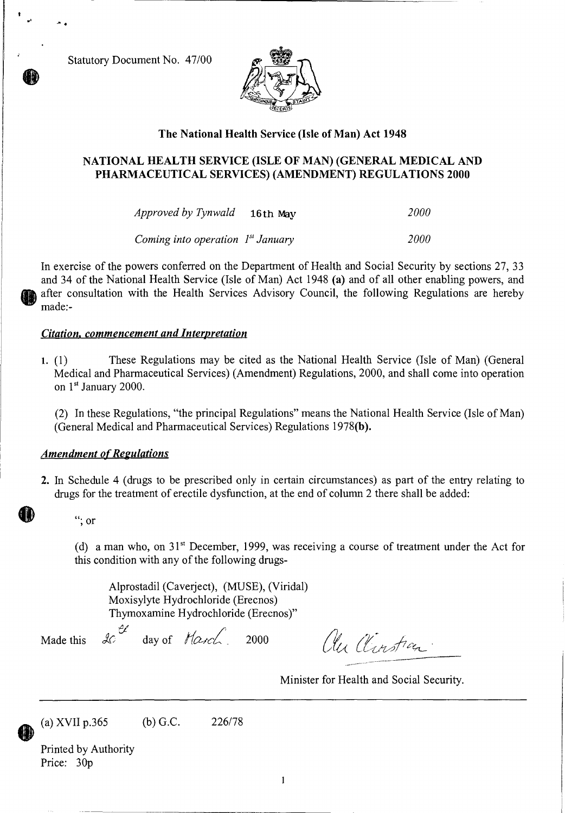Statutory Document No. 47/00



### The National Health Service (Isle of Man) Act 1948

## NATIONAL HEALTH SERVICE (ISLE OF MAN) (GENERAL MEDICAL AND PHARMACEUTICAL SERVICES) (AMENDMENT) REGULATIONS 2000

*Approved by Tynwald* 16th may *2000* 

*Coming into operation 1<sup>st</sup> January 2000* 

In exercise of the powers conferred on the Department of Health and Social Security by sections 27, 33 and 34 of the National Health Service (Isle of Man) Act 1948 *(a)* and of all other enabling powers, and after consultation with the Health Services Advisory Council, the following Regulations are hereby made:-

### *Citation, commencement and Interpretation*

1. (1) These Regulations may be cited as the National Health Service (Isle of Man) (General Medical and Pharmaceutical Services) (Amendment) Regulations, 2000, and shall come into operation on 1<sup>st</sup> January 2000.

(2) In these Regulations, "the principal Regulations" means the National Health Service (Isle of Man) (General Medical and Pharmaceutical Services) Regulations 1978(b).

### *Amendment of Regulations*

2. In Schedule 4 (drugs to be prescribed only in certain circumstances) as part of the entry relating to drugs for the treatment of erectile dysfunction, at the end of column 2 there shall be added:

"; or

(d) a man who, on  $31<sup>st</sup>$  December, 1999, was receiving a course of treatment under the Act for this condition with any of the following drugs-

Alprostadil (Caverject), (MUSE), (Viridal) Moxisylyte Hydrochloride (Erecnos) Thymoxamine Hydrochloride (Erecnos)"

Made this  $\&$  day of  $\text{H}\alpha\text{-}e\text{-}$  2000

au Clinstian.

Minister for Health and Social Security.

(a) XVII p.365 (b) G.C. 226/78

Printed by Authority Price: 30p

1